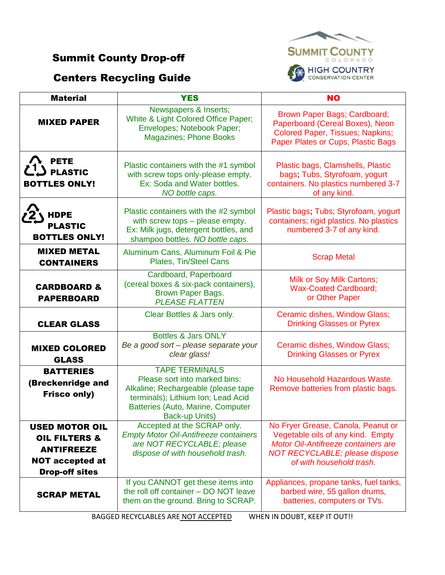## Summit County Drop-off

## Centers Recycling Guide



| <b>Material</b>                                                                                                           | <b>YES</b>                                                                                                                                                                                 | <b>NO</b>                                                                                                                                                                    |
|---------------------------------------------------------------------------------------------------------------------------|--------------------------------------------------------------------------------------------------------------------------------------------------------------------------------------------|------------------------------------------------------------------------------------------------------------------------------------------------------------------------------|
| <b>MIXED PAPER</b>                                                                                                        | Newspapers & Inserts;<br>White & Light Colored Office Paper;<br>Envelopes; Notebook Paper;<br><b>Magazines; Phone Books</b>                                                                | Brown Paper Bags; Cardboard;<br>Paperboard (Cereal Boxes), Neon<br><b>Colored Paper, Tissues; Napkins;</b><br>Paper Plates or Cups, Plastic Bags                             |
| <b>PETE</b><br><b>PLASTIC</b><br><b>BOTTLES ONLY!</b>                                                                     | Plastic containers with the #1 symbol<br>with screw tops only-please empty.<br>Ex: Soda and Water bottles.<br>NO bottle caps.                                                              | Plastic bags, Clamshells, Plastic<br>bags; Tubs, Styrofoam, yogurt<br>containers. No plastics numbered 3-7<br>of any kind.                                                   |
| <b>HDPE</b><br><b>PLASTIC</b><br><b>BOTTLES ONLY!</b>                                                                     | Plastic containers with the #2 symbol<br>with screw tops - please empty.<br>Ex: Milk jugs, detergent bottles, and<br>shampoo bottles. NO bottle caps.                                      | Plastic bags; Tubs; Styrofoam, yogurt<br>containers; rigid plastics. No plastics<br>numbered 3-7 of any kind.                                                                |
| <b>MIXED METAL</b><br><b>CONTAINERS</b>                                                                                   | Aluminum Cans, Aluminum Foil & Pie<br>Plates, Tin/Steel Cans                                                                                                                               | <b>Scrap Metal</b>                                                                                                                                                           |
| <b>CARDBOARD &amp;</b><br><b>PAPERBOARD</b>                                                                               | Cardboard, Paperboard<br>(cereal boxes & six-pack containers),<br><b>Brown Paper Bags.</b><br><b>PLEASE FLATTEN</b>                                                                        | Milk or Soy Milk Cartons;<br><b>Wax-Coated Cardboard;</b><br>or Other Paper                                                                                                  |
| <b>CLEAR GLASS</b>                                                                                                        | Clear Bottles & Jars only.                                                                                                                                                                 | Ceramic dishes, Window Glass;<br><b>Drinking Glasses or Pyrex</b>                                                                                                            |
| <b>MIXED COLORED</b><br><b>GLASS</b>                                                                                      | <b>Bottles &amp; Jars ONLY</b><br>Be a good sort - please separate your<br>clear glass!                                                                                                    | Ceramic dishes, Window Glass;<br><b>Drinking Glasses or Pyrex</b>                                                                                                            |
| <b>BATTERIES</b><br>(Breckenridge and<br><b>Frisco only)</b>                                                              | <b>TAPE TERMINALS</b><br>Please sort into marked bins:<br>Alkaline; Rechargeable (please tape<br>terminals); Lithium Ion; Lead Acid<br>Batteries (Auto, Marine, Computer<br>Back-up Units) | No Household Hazardous Waste.<br>Remove batteries from plastic bags.                                                                                                         |
| <b>USED MOTOR OIL</b><br><b>OIL FILTERS &amp;</b><br><b>ANTIFREEZE</b><br><b>NOT accepted at</b><br><b>Drop-off sites</b> | Accepted at the SCRAP only.<br><b>Empty Motor Oil-Antifreeze containers</b><br>are NOT RECYCLABLE; please<br>dispose of with household trash.                                              | No Fryer Grease, Canola, Peanut or<br>Vegetable oils of any kind. Empty<br>Motor Oil-Antifreeze containers are<br>NOT RECYCLABLE; please dispose<br>of with household trash. |
| <b>SCRAP METAL</b>                                                                                                        | If you CANNOT get these items into<br>the roll off container - DO NOT leave<br>them on the ground. Bring to SCRAP.                                                                         | Appliances, propane tanks, fuel tanks,<br>barbed wire, 55 gallon drums,<br>batteries, computers or TVs.                                                                      |

BAGGED RECYCLABLES ARE NOT ACCEPTED WHEN IN DOUBT, KEEP IT OUT!!